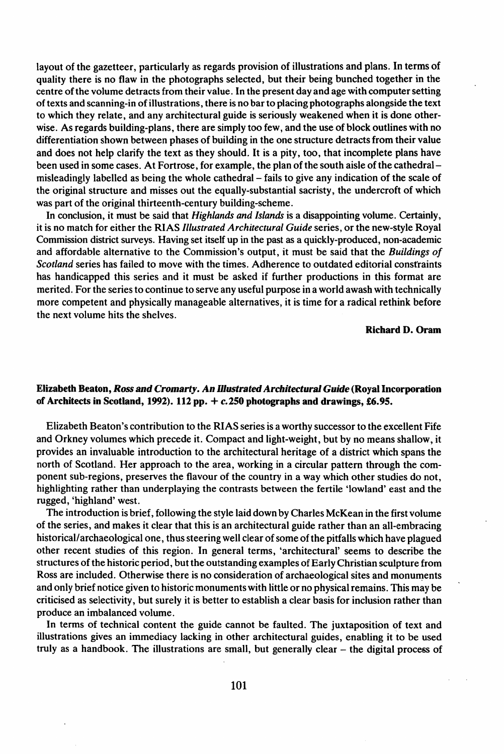layout of the gazetteer, particularly as regards provision of illustrations and plans. In terms of quality there is no flaw in the photographs selected, but their being bunched together in the centre of the volume detracts from their value. In the present day and age with computer setting oftexts and scanning-in ofillustrations, there is no bar to placing photographs alongside the text to which they relate, and any architectural guide is seriously weakened when it is done otherwise. As regards building-plans, there are simply too few, and the use of block outlines with no differentiation shown between phases of building in the one structure detractsfrom their value and does not help clarify the text as they should. It is a pity, too, that incomplete plans have been used in some cases. At Fortrose, for example, the plan of the south aisle of the cathedral – misleadingly labelled as being the whole cathedral- fails to give any indication of the scale of the original structure and misses out the equally-substantial sacristy, the undercroft of which was part of the original thirteenth-century building-scheme.

In conclusion, it must be said that *Highlands and Islands* is a disappointing volume. Certainly, it is no match for either the RIAS *Illustrated Architectural Guide* series, or the new-style Royal Commission district surveys. Having set itself up in the past as a quickly-produced, non-academic and affordable alternative to the Commission's output, it must be said that the *Buildings of Scotland* series has failed to move with the times. Adherence to outdated editorial constraints has handicapped this series and it must be asked if further productions in this format are merited, For the series to continue to serve any useful purpose in a world awash with technically more competent and physically manageable alternatives, it is time for a radical rethink before the next volume hits the shelves.

Richard D. Oram

## Elizabeth Beaton, *Ross and Cromarty. An Illustrated ArchitecturalGuide* (Royal Incorporation of Architects in Scotland, 1992). 112 pp.  $+ c.250$  photographs and drawings, £6.95.

Elizabeth Beaton's contribution to the RIAS series is a worthy successor to the excellent Fife and Orkney volumes which precede it. Compact and light-weight, but by no means shallow, it provides an invaluable introduction to the architectural heritage of a district which spans the north of Scotland. Her approach to the area, working in a circular pattern through the component sub-regions, preserves the flavour of the country in a way which other studies do not, highlighting rather than underplaying the contrasts between the fertile 'lowland' east and the rugged, 'highland' west.

The introduction is brief, following the style laid down by Charles McKean in the first volume of the series, and makes it clear that this is an architectural guide rather than an all-embracing historical/archaeological one, thus steering well clear of some of the pitfalls which have plagued other recent studies of this region. In general terms, 'architectural' seems to describe the structures of the historic period, but the outstanding examples of Early Christian sculpture from Ross are included. Otherwise there is no consideration of archaeological sites and monuments and only brief notice given to historic monuments with little or no physical remains. This may be criticised as selectivity, but surely it is better to establish a clear basis for inclusion rather than produce an imbalanced volume.

In terms of technical content the guide cannot be faulted. The juxtaposition of text and illustrations gives an immediacy lacking in other architectural guides, enabling it to be used truly as a handbook. The illustrations are small, but generally clear  $-$  the digital process of